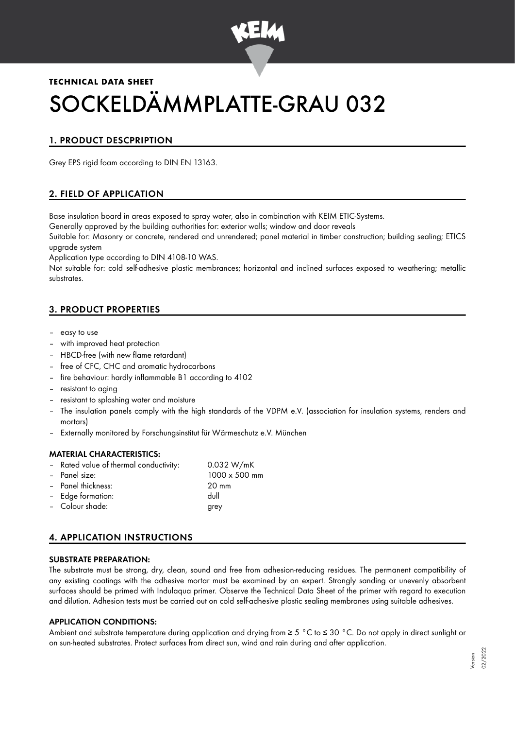

# **TECHNICAL DATA SHEET** SOCKELDÄMMPLATTE-GRAU 032

# 1. PRODUCT DESCPRIPTION

Grey EPS rigid foam according to DIN EN 13163.

## 2. FIELD OF APPLICATION

Base insulation board in areas exposed to spray water, also in combination with KEIM ETIC-Systems.

Generally approved by the building authorities for: exterior walls; window and door reveals

Suitable for: Masonry or concrete, rendered and unrendered; panel material in timber construction; building sealing; ETICS upgrade system

Application type according to DIN 4108-10 WAS.

Not suitable for: cold self-adhesive plastic membrances; horizontal and inclined surfaces exposed to weathering; metallic substrates.

## 3. PRODUCT PROPERTIES

- easy to use
- with improved heat protection
- HBCD-free (with new flame retardant)
- free of CFC, CHC and aromatic hydrocarbons
- fire behaviour: hardly inflammable B1 according to 4102
- resistant to aging
- resistant to splashing water and moisture
- The insulation panels comply with the high standards of the VDPM e.V. (association for insulation systems, renders and mortars)
- Externally monitored by Forschungsinstitut für Wärmeschutz e.V. München

#### MATERIAL CHARACTERISTICS:

Rated value of thermal conductivity: 0.032 W/mK – Panel size: 1000 x 500 mm – Panel thickness: 20 mm – Edge formation: dull – Colour shade: grey

# 4. APPLICATION INSTRUCTIONS

#### SUBSTRATE PREPARATION:

The substrate must be strong, dry, clean, sound and free from adhesion-reducing residues. The permanent compatibility of any existing coatings with the adhesive mortar must be examined by an expert. Strongly sanding or unevenly absorbent surfaces should be primed with Indulaqua primer. Observe the Technical Data Sheet of the primer with regard to execution and dilution. Adhesion tests must be carried out on cold self-adhesive plastic sealing membranes using suitable adhesives.

#### APPLICATION CONDITIONS:

Ambient and substrate temperature during application and drying from ≥ 5 °C to ≤ 30 °C. Do not apply in direct sunlight or on sun-heated substrates. Protect surfaces from direct sun, wind and rain during and after application.